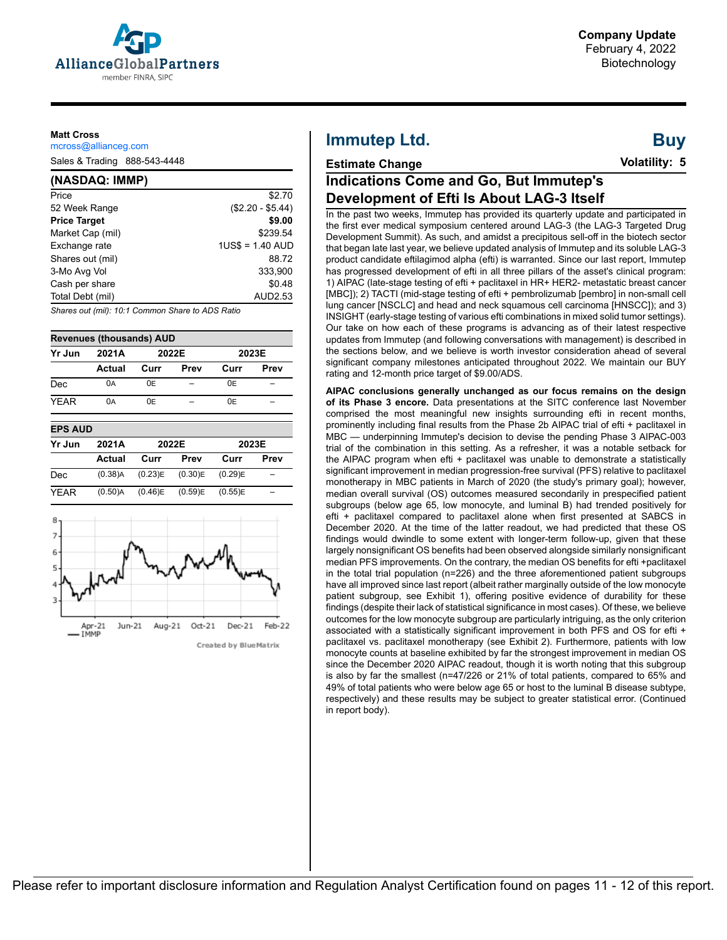

#### **Matt Cross**

mcross@allianceg.com

Sales & Trading 888-543-4448

#### **(NASDAQ: IMMP)**

| Price               | \$2.70            |
|---------------------|-------------------|
| 52 Week Range       | $($2.20 - $5.44)$ |
| <b>Price Target</b> | \$9.00            |
| Market Cap (mil)    | \$239.54          |
| Exchange rate       | $1US$ = 1.40$ AUD |
| Shares out (mil)    | 88.72             |
| 3-Mo Avg Vol        | 333.900           |
| Cash per share      | \$0.48            |
| Total Debt (mil)    | AUD2.53           |
|                     |                   |

*Shares out (mil): 10:1 Common Share to ADS Ratio*



| Yr Jun         | 2021A      |         | 2022E   | 2023E   |      |  |  |  |
|----------------|------------|---------|---------|---------|------|--|--|--|
|                | Actual     | Curr    | Prev    | Curr    | Prev |  |  |  |
| Dec            | 0A         | 0E      |         | 0E      |      |  |  |  |
| <b>YEAR</b>    | 0A         | 0E      |         | 0E      |      |  |  |  |
| <b>EPS AUD</b> |            |         |         |         |      |  |  |  |
| Yr Jun         | 2021A      |         | 2022E   | 2023E   |      |  |  |  |
|                | Actual     | Curr    | Prev    | Curr    | Prev |  |  |  |
| Dec            | $(0.38)$ A | (0.23)E | (0.30)E | (0.29)E |      |  |  |  |

YEAR (0.50)A (0.46)E (0.59)E (0.55)E –

| 8<br>6 |        |        |        |          |                       |        |
|--------|--------|--------|--------|----------|-----------------------|--------|
| 5      |        |        |        |          |                       |        |
|        |        |        |        |          |                       |        |
|        |        |        |        |          |                       |        |
|        | Apr-21 | Jun-21 | Aug-21 | $Oct-21$ | $Dec-21$              | Feb-22 |
|        | IMMP   |        |        |          | Created by BlueMatrix |        |

# **Immutep Ltd.**

## **Estimate Change**

**Buy Volatility: 5**

# **Indications Come and Go, But Immutep's Development of Efti Is About LAG-3 Itself**

In the past two weeks, Immutep has provided its quarterly update and participated in the first ever medical symposium centered around LAG-3 (the LAG-3 Targeted Drug Development Summit). As such, and amidst a precipitous sell-off in the biotech sector that began late last year, we believe updated analysis of Immutep and its soluble LAG-3 product candidate eftilagimod alpha (efti) is warranted. Since our last report, Immutep has progressed development of efti in all three pillars of the asset's clinical program: 1) AIPAC (late-stage testing of efti + paclitaxel in HR+ HER2- metastatic breast cancer [MBC]); 2) TACTI (mid-stage testing of efti + pembrolizumab [pembro] in non-small cell lung cancer [NSCLC] and head and neck squamous cell carcinoma [HNSCC]); and 3) INSIGHT (early-stage testing of various efti combinations in mixed solid tumor settings). Our take on how each of these programs is advancing as of their latest respective updates from Immutep (and following conversations with management) is described in the sections below, and we believe is worth investor consideration ahead of several significant company milestones anticipated throughout 2022. We maintain our BUY rating and 12-month price target of \$9.00/ADS.

**AIPAC conclusions generally unchanged as our focus remains on the design of its Phase 3 encore.** Data presentations at the SITC conference last November comprised the most meaningful new insights surrounding efti in recent months, prominently including final results from the Phase 2b AIPAC trial of efti + paclitaxel in MBC — underpinning Immutep's decision to devise the pending Phase 3 AIPAC-003 trial of the combination in this setting. As a refresher, it was a notable setback for the AIPAC program when efti + paclitaxel was unable to demonstrate a statistically significant improvement in median progression-free survival (PFS) relative to paclitaxel monotherapy in MBC patients in March of 2020 (the study's primary goal); however, median overall survival (OS) outcomes measured secondarily in prespecified patient subgroups (below age 65, low monocyte, and luminal B) had trended positively for efti + paclitaxel compared to paclitaxel alone when first presented at SABCS in December 2020. At the time of the latter readout, we had predicted that these OS findings would dwindle to some extent with longer-term follow-up, given that these largely nonsignificant OS benefits had been observed alongside similarly nonsignificant median PFS improvements. On the contrary, the median OS benefits for efti +paclitaxel in the total trial population (n=226) and the three aforementioned patient subgroups have all improved since last report (albeit rather marginally outside of the low monocyte patient subgroup, see Exhibit 1), offering positive evidence of durability for these findings (despite their lack of statistical significance in most cases). Of these, we believe outcomes for the low monocyte subgroup are particularly intriguing, as the only criterion associated with a statistically significant improvement in both PFS and OS for efti + paclitaxel vs. paclitaxel monotherapy (see Exhibit 2). Furthermore, patients with low monocyte counts at baseline exhibited by far the strongest improvement in median OS since the December 2020 AIPAC readout, though it is worth noting that this subgroup is also by far the smallest (n=47/226 or 21% of total patients, compared to 65% and 49% of total patients who were below age 65 or host to the luminal B disease subtype, respectively) and these results may be subject to greater statistical error. (Continued in report body).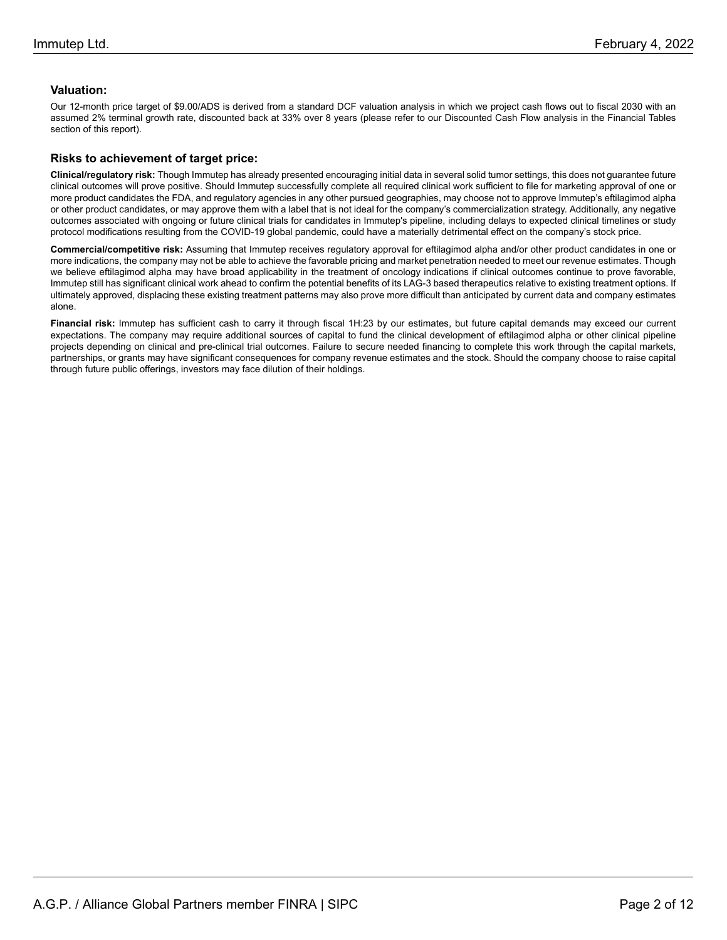#### **Valuation:**

Our 12-month price target of \$9.00/ADS is derived from a standard DCF valuation analysis in which we project cash flows out to fiscal 2030 with an assumed 2% terminal growth rate, discounted back at 33% over 8 years (please refer to our Discounted Cash Flow analysis in the Financial Tables section of this report).

#### **Risks to achievement of target price:**

**Clinical/regulatory risk:** Though Immutep has already presented encouraging initial data in several solid tumor settings, this does not guarantee future clinical outcomes will prove positive. Should Immutep successfully complete all required clinical work sufficient to file for marketing approval of one or more product candidates the FDA, and regulatory agencies in any other pursued geographies, may choose not to approve Immutep's eftilagimod alpha or other product candidates, or may approve them with a label that is not ideal for the company's commercialization strategy. Additionally, any negative outcomes associated with ongoing or future clinical trials for candidates in Immutep's pipeline, including delays to expected clinical timelines or study protocol modifications resulting from the COVID-19 global pandemic, could have a materially detrimental effect on the company's stock price.

**Commercial/competitive risk:** Assuming that Immutep receives regulatory approval for eftilagimod alpha and/or other product candidates in one or more indications, the company may not be able to achieve the favorable pricing and market penetration needed to meet our revenue estimates. Though we believe eftilagimod alpha may have broad applicability in the treatment of oncology indications if clinical outcomes continue to prove favorable, Immutep still has significant clinical work ahead to confirm the potential benefits of its LAG-3 based therapeutics relative to existing treatment options. If ultimately approved, displacing these existing treatment patterns may also prove more difficult than anticipated by current data and company estimates alone.

**Financial risk:** Immutep has sufficient cash to carry it through fiscal 1H:23 by our estimates, but future capital demands may exceed our current expectations. The company may require additional sources of capital to fund the clinical development of eftilagimod alpha or other clinical pipeline projects depending on clinical and pre-clinical trial outcomes. Failure to secure needed financing to complete this work through the capital markets, partnerships, or grants may have significant consequences for company revenue estimates and the stock. Should the company choose to raise capital through future public offerings, investors may face dilution of their holdings.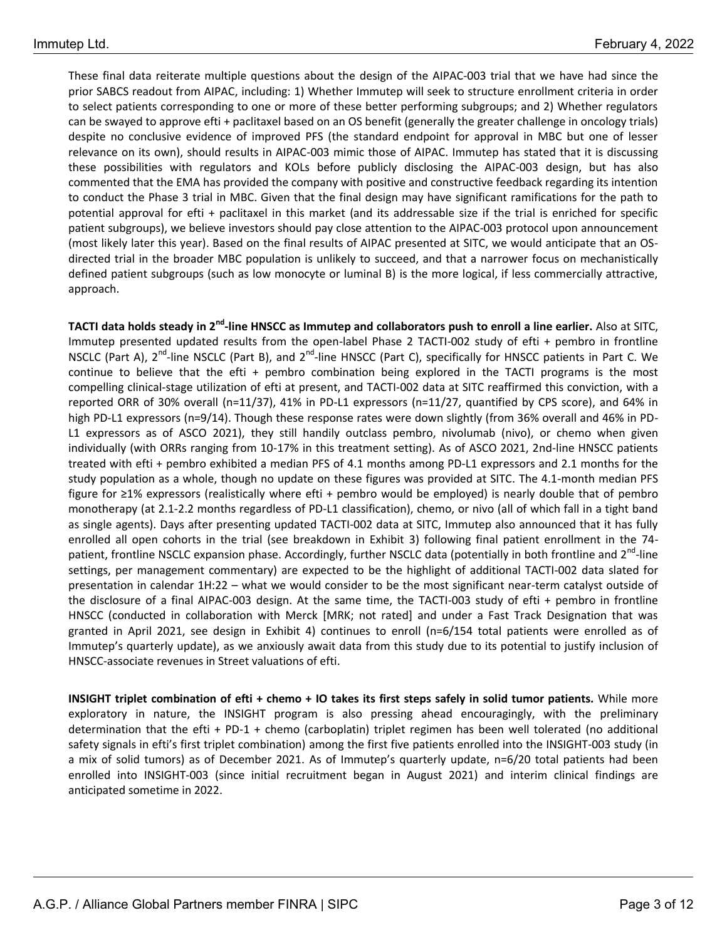These final data reiterate multiple questions about the design of the AIPAC-003 trial that we have had since the prior SABCS readout from AIPAC, including: 1) Whether Immutep will seek to structure enrollment criteria in order to select patients corresponding to one or more of these better performing subgroups; and 2) Whether regulators can be swayed to approve efti + paclitaxel based on an OS benefit (generally the greater challenge in oncology trials) despite no conclusive evidence of improved PFS (the standard endpoint for approval in MBC but one of lesser relevance on its own), should results in AIPAC-003 mimic those of AIPAC. Immutep has stated that it is discussing these possibilities with regulators and KOLs before publicly disclosing the AIPAC-003 design, but has also commented that the EMA has provided the company with positive and constructive feedback regarding its intention to conduct the Phase 3 trial in MBC. Given that the final design may have significant ramifications for the path to potential approval for efti + paclitaxel in this market (and its addressable size if the trial is enriched for specific patient subgroups), we believe investors should pay close attention to the AIPAC-003 protocol upon announcement (most likely later this year). Based on the final results of AIPAC presented at SITC, we would anticipate that an OSdirected trial in the broader MBC population is unlikely to succeed, and that a narrower focus on mechanistically defined patient subgroups (such as low monocyte or luminal B) is the more logical, if less commercially attractive, approach.

**TACTI data holds steady in 2nd -line HNSCC as Immutep and collaborators push to enroll a line earlier.** Also at SITC, Immutep presented updated results from the open-label Phase 2 TACTI-002 study of efti + pembro in frontline NSCLC (Part A), 2<sup>nd</sup>-line NSCLC (Part B), and 2<sup>nd</sup>-line HNSCC (Part C), specifically for HNSCC patients in Part C. We continue to believe that the efti + pembro combination being explored in the TACTI programs is the most compelling clinical-stage utilization of efti at present, and TACTI-002 data at SITC reaffirmed this conviction, with a reported ORR of 30% overall (n=11/37), 41% in PD-L1 expressors (n=11/27, quantified by CPS score), and 64% in high PD-L1 expressors (n=9/14). Though these response rates were down slightly (from 36% overall and 46% in PD-L1 expressors as of ASCO 2021), they still handily outclass pembro, nivolumab (nivo), or chemo when given individually (with ORRs ranging from 10-17% in this treatment setting). As of ASCO 2021, 2nd-line HNSCC patients treated with efti + pembro exhibited a median PFS of 4.1 months among PD-L1 expressors and 2.1 months for the study population as a whole, though no update on these figures was provided at SITC. The 4.1-month median PFS figure for ≥1% expressors (realistically where efti + pembro would be employed) is nearly double that of pembro monotherapy (at 2.1-2.2 months regardless of PD-L1 classification), chemo, or nivo (all of which fall in a tight band as single agents). Days after presenting updated TACTI-002 data at SITC, Immutep also announced that it has fully enrolled all open cohorts in the trial (see breakdown in Exhibit 3) following final patient enrollment in the 74 patient, frontline NSCLC expansion phase. Accordingly, further NSCLC data (potentially in both frontline and 2<sup>nd</sup>-line settings, per management commentary) are expected to be the highlight of additional TACTI-002 data slated for presentation in calendar 1H:22 – what we would consider to be the most significant near-term catalyst outside of the disclosure of a final AIPAC-003 design. At the same time, the TACTI-003 study of efti + pembro in frontline HNSCC (conducted in collaboration with Merck [MRK; not rated] and under a Fast Track Designation that was granted in April 2021, see design in Exhibit 4) continues to enroll (n=6/154 total patients were enrolled as of Immutep's quarterly update), as we anxiously await data from this study due to its potential to justify inclusion of HNSCC-associate revenues in Street valuations of efti.

**INSIGHT triplet combination of efti + chemo + IO takes its first steps safely in solid tumor patients.** While more exploratory in nature, the INSIGHT program is also pressing ahead encouragingly, with the preliminary determination that the efti + PD-1 + chemo (carboplatin) triplet regimen has been well tolerated (no additional safety signals in efti's first triplet combination) among the first five patients enrolled into the INSIGHT-003 study (in a mix of solid tumors) as of December 2021. As of Immutep's quarterly update, n=6/20 total patients had been enrolled into INSIGHT-003 (since initial recruitment began in August 2021) and interim clinical findings are anticipated sometime in 2022.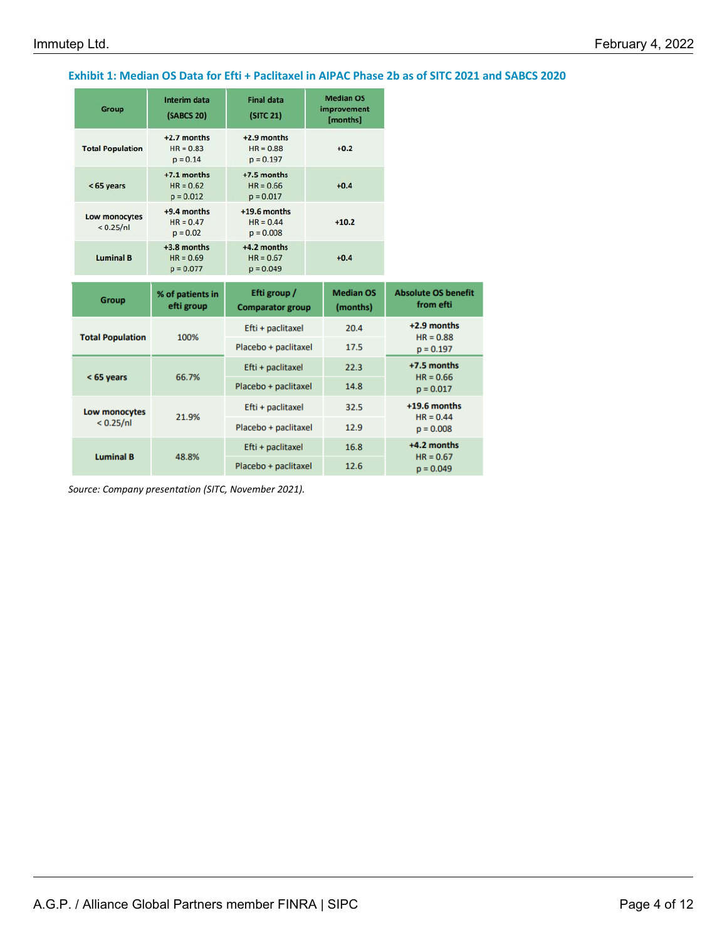### **Exhibit 1: Median OS Data for Efti + Paclitaxel in AIPAC Phase 2b as of SITC 2021 and SABCS 2020**

| Group                        | Interim data<br>(SABCS 20)                  | <b>Final data</b><br>(SITC 21)                          | <b>Median OS</b><br>improvement<br>[months] |                                         |  |  |
|------------------------------|---------------------------------------------|---------------------------------------------------------|---------------------------------------------|-----------------------------------------|--|--|
| <b>Total Population</b>      | $+2.7$ months<br>$HR = 0.83$<br>$p = 0.14$  | $+2.9$ months<br>$HR = 0.88$<br>$p = 0.197$             | $+0.2$                                      |                                         |  |  |
| < 65 years                   | $+7.1$ months<br>$HR = 0.62$<br>$p = 0.012$ | +7.5 months<br>$HR = 0.66$<br>$p = 0.017$               | $+0.4$                                      |                                         |  |  |
| Low monocytes<br>< 0.25 / n1 | $+9.4$ months<br>$HR = 0.47$<br>$p = 0.02$  | $+19.6$ months<br>$HR = 0.44$<br>$+10.2$<br>$p = 0.008$ |                                             |                                         |  |  |
| <b>Luminal B</b>             | +3.8 months<br>$HR = 0.69$<br>$p = 0.077$   | +4.2 months<br>$HR = 0.67$<br>$+0.4$<br>$p = 0.049$     |                                             |                                         |  |  |
|                              |                                             |                                                         |                                             |                                         |  |  |
| Group                        | % of patients in<br>efti group              | Efti group /<br><b>Comparator group</b>                 | <b>Median OS</b><br>(months)                | <b>Absolute OS benefit</b><br>from efti |  |  |
|                              |                                             | Efti + paclitaxel                                       | 20.4                                        | +2.9 months                             |  |  |
| <b>Total Population</b>      | 100%                                        | Placebo + paclitaxel                                    | 17.5                                        | $HR = 0.88$<br>$p = 0.197$              |  |  |
|                              |                                             | Efti + paclitaxel                                       | 22.3                                        | +7.5 months                             |  |  |
| $< 65$ years                 | 66.7%                                       | Placebo + paclitaxel                                    | 14.8                                        | $HR = 0.66$<br>$p = 0.017$              |  |  |
| Low monocytes                |                                             | Efti + paclitaxel                                       | 32.5                                        | $+19.6$ months                          |  |  |
| < 0.25/nl                    | 21.9%                                       | Placebo + paclitaxel                                    | 12.9                                        | $HR = 0.44$<br>$p = 0.008$              |  |  |
| <b>Luminal B</b>             | 48.8%                                       | Efti + paclitaxel                                       | 16.8                                        | +4.2 months<br>$HR = 0.67$              |  |  |

*Source: Company presentation (SITC, November 2021).*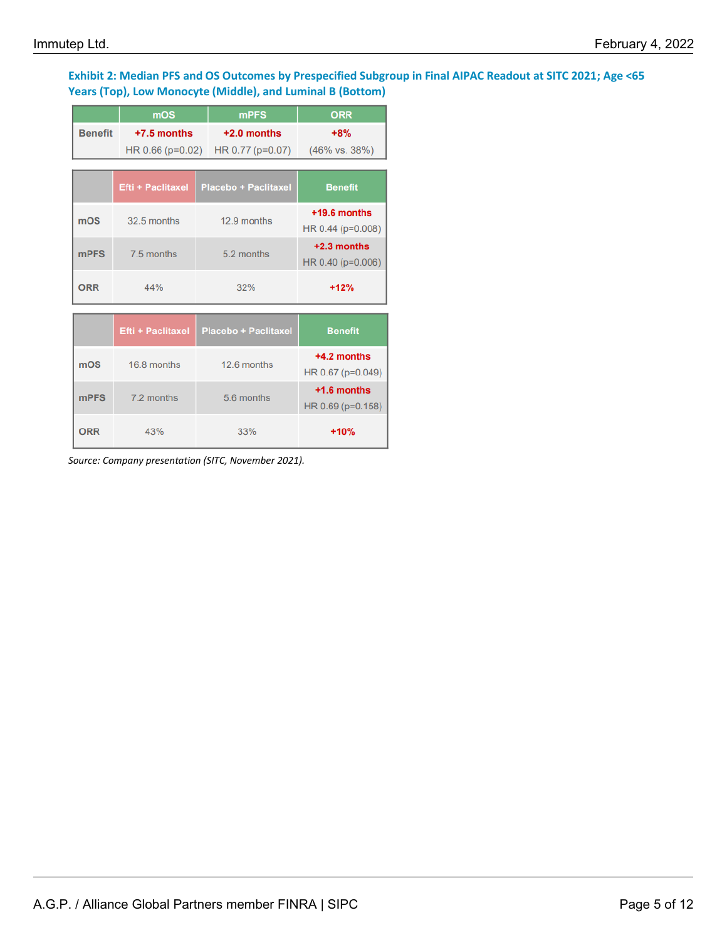## **Exhibit 2: Median PFS and OS Outcomes by Prespecified Subgroup in Final AIPAC Readout at SITC 2021; Age <65 Years (Top), Low Monocyte (Middle), and Luminal B (Bottom)**

|                | mOS                      | <b>mPFS</b>                                     | <b>ORR</b>                          |
|----------------|--------------------------|-------------------------------------------------|-------------------------------------|
| <b>Benefit</b> | $+7.5$ months            | $+2.0$ months                                   | $+8%$                               |
|                |                          | HR 0.66 (p=0.02) HR 0.77 (p=0.07) (46% vs. 38%) |                                     |
|                |                          |                                                 |                                     |
|                | <b>Efti + Paclitaxel</b> | <b>Placebo + Paclitaxel</b>                     | <b>Benefit</b>                      |
| mOS            | 32.5 months              | 12.9 months                                     | $+19.6$ months<br>HR 0.44 (p=0.008) |
| <b>mPFS</b>    | 7.5 months               | 5.2 months                                      | $+2.3$ months<br>HR 0.40 (p=0.006)  |
|                |                          |                                                 |                                     |
| <b>ORR</b>     | 44%                      | 32%                                             | $+12%$                              |
|                | <b>Efti + Paclitaxel</b> | <b>Placebo + Paclitaxel</b>                     | <b>Benefit</b>                      |
| mOS            | 16.8 months              | 12.6 months                                     | $+4.2$ months<br>HR 0.67 (p=0.049)  |
| <b>mPFS</b>    | 7.2 months               | 5.6 months                                      | $+1.6$ months<br>HR 0.69 (p=0.158)  |

*Source: Company presentation (SITC, November 2021).*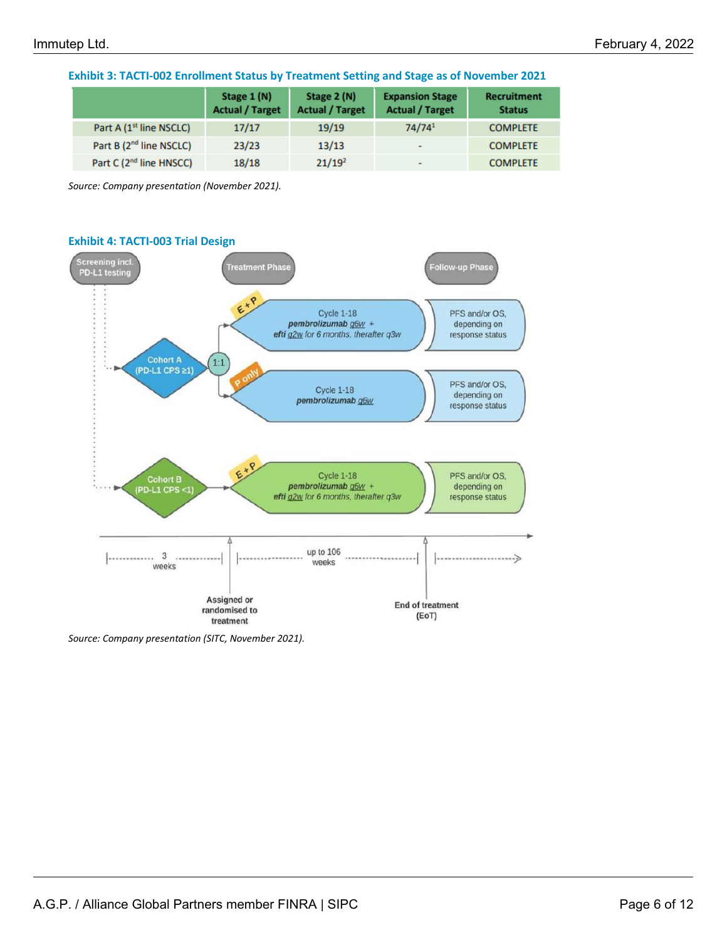|                                     | Stage 1 (N)<br><b>Actual / Target</b> | Stage 2 (N)<br><b>Actual / Target</b> | <b>Expansion Stage</b><br><b>Actual / Target</b> | <b>Recruitment</b><br><b>Status</b> |
|-------------------------------------|---------------------------------------|---------------------------------------|--------------------------------------------------|-------------------------------------|
| Part A (1 <sup>st</sup> line NSCLC) | 17/17                                 | 19/19                                 | 74/741                                           | <b>COMPLETE</b>                     |
| Part B (2 <sup>nd</sup> line NSCLC) | 23/23                                 | 13/13                                 | ۰                                                | <b>COMPLETE</b>                     |
| Part C (2 <sup>nd</sup> line HNSCC) | 18/18                                 | 21/19 <sup>2</sup>                    | ۰                                                | <b>COMPLETE</b>                     |

**Exhibit 3: TACTI-002 Enrollment Status by Treatment Setting and Stage as of November 2021**

*Source: Company presentation (November 2021).* 



*Source: Company presentation (SITC, November 2021).*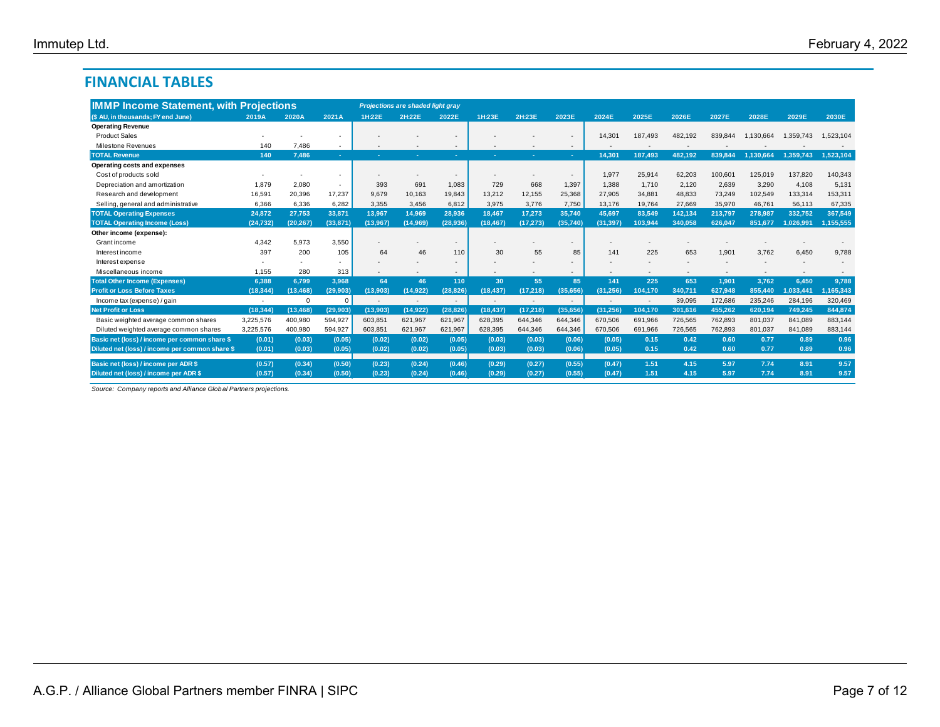## **FINANCIAL TABLES**

|                                                 | <b>IMMP Income Statement, with Projections</b> |           |                |          | <b>Projections are shaded light gray</b> |           |           |                          |                          |           |         |         |         |           |           |           |
|-------------------------------------------------|------------------------------------------------|-----------|----------------|----------|------------------------------------------|-----------|-----------|--------------------------|--------------------------|-----------|---------|---------|---------|-----------|-----------|-----------|
| (\$ AU, in thousands; FY end June)              | 2019A                                          | 2020A     | 2021A          | 1H:22E   | 2H:22E                                   | 2022E     | 1H:23E    | 2H:23E                   | 2023E                    | 2024E     | 2025E   | 2026E   | 2027E   | 2028E     | 2029E     | 2030E     |
| <b>Operating Revenue</b>                        |                                                |           |                |          |                                          |           |           |                          |                          |           |         |         |         |           |           |           |
| <b>Product Sales</b>                            |                                                |           |                |          |                                          |           |           |                          |                          | 14,301    | 187,493 | 482,192 | 839,844 | 1,130,664 | 1,359,743 | 1,523,104 |
| Milestone Revenues                              | 140                                            | 7.486     | ۰.             |          |                                          |           |           |                          | $\overline{\phantom{a}}$ |           |         |         |         |           |           |           |
| <b>TOTAL Revenue</b>                            | 140                                            | 7.486     | <b>College</b> |          |                                          |           |           |                          |                          | 14.301    | 187.493 | 482.192 | 839.844 | 1.130.664 | 1.359.743 | 1,523,104 |
| Operating costs and expenses                    |                                                |           |                |          |                                          |           |           |                          |                          |           |         |         |         |           |           |           |
| Cost of products sold                           |                                                |           |                |          |                                          |           |           |                          |                          | 1.977     | 25,914  | 62,203  | 100,601 | 125,019   | 137,820   | 140,343   |
| Depreciation and amortization                   | 1.879                                          | 2,080     | $\sim$         | 393      | 691                                      | 1.083     | 729       | 668                      | 1,397                    | 1.388     | 1.710   | 2,120   | 2,639   | 3,290     | 4,108     | 5,131     |
| Research and development                        | 16,591                                         | 20,396    | 17,237         | 9,679    | 10,163                                   | 19,843    | 13,212    | 12,155                   | 25,368                   | 27,905    | 34,881  | 48,833  | 73,249  | 102,549   | 133,314   | 153,311   |
| Selling, general and administrative             | 6.366                                          | 6,336     | 6,282          | 3,355    | 3.456                                    | 6.812     | 3.975     | 3.776                    | 7,750                    | 13,176    | 19,764  | 27.669  | 35,970  | 46.761    | 56.113    | 67,335    |
| <b>TOTAL Operating Expenses</b>                 | 24,872                                         | 27,753    | 33,871         | 13,967   | 14,969                                   | 28.936    | 18.467    | 17.273                   | 35.740                   | 45,697    | 83,549  | 142.134 | 213,797 | 278,987   | 332,752   | 367,549   |
| <b>TOTAL Operating Income (Loss)</b>            | (24, 732)                                      | (20, 267) | (33, 871)      | (13,967) | (14,969)                                 | (28,936)  | (18, 467) | (17, 273)                | (35,740)                 | (31, 397) | 103,944 | 340,058 | 626.047 | 851,677   | 1.026.991 | 1,155,555 |
| Other income (expense):                         |                                                |           |                |          |                                          |           |           |                          |                          |           |         |         |         |           |           |           |
| Grant income                                    | 4,342                                          | 5,973     | 3,550          |          |                                          |           |           |                          |                          |           |         |         |         |           |           |           |
| Interest income                                 | 397                                            | 200       | 105            | 64       | 46                                       | 110       | 30        | 55                       | 85                       | 141       | 225     | 653     | 1.901   | 3.762     | 6.450     | 9.788     |
| Interest expense                                |                                                |           |                |          |                                          |           |           |                          |                          |           |         |         |         |           |           |           |
| Miscellaneous income                            | 1.155                                          | 280       | 313            |          |                                          |           |           |                          |                          |           |         |         |         |           |           |           |
| <b>Total Other Income (Expenses)</b>            | 6.388                                          | 6.799     | 3.968          | 64       | 46                                       | 110       | 30        | 55                       | 85                       | 141       | 225     | 653     | 1,901   | 3.762     | 6.450     | 9.788     |
| <b>Profit or Loss Before Taxes</b>              | (18, 344)                                      | (13, 468) | (29, 903)      | (13,903) | (14, 922)                                | (28.826)  | (18, 437) | (17, 218)                | (35.656)                 | (31, 256) | 104.170 | 340.711 | 627.948 | 855.440   | 1.033.441 | 1,165,343 |
| Income tax (expense) / gain                     | ٠                                              | $\Omega$  | $\mathbf 0$    |          |                                          | ж.        |           | $\overline{\phantom{a}}$ | $\overline{a}$           |           |         | 39,095  | 172.686 | 235.246   | 284.196   | 320,469   |
| <b>Net Profit or Loss</b>                       | (18, 344)                                      | (13, 468) | (29, 903)      | (13,903) | (14, 922)                                | (28, 826) | (18, 437) | (17, 218)                | (35,656)                 | (31, 256) | 104,170 | 301.616 | 455.262 | 620,194   | 749.245   | 844,874   |
| Basic weighted average common shares            | 3,225,576                                      | 400,980   | 594,927        | 603,851  | 621,967                                  | 621.967   | 628,395   | 644,346                  | 644,346                  | 670.506   | 691,966 | 726,565 | 762,893 | 801,037   | 841,089   | 883,144   |
| Diluted weighted average common shares          | 3,225,576                                      | 400,980   | 594,927        | 603,851  | 621,967                                  | 621,967   | 628.395   | 644,346                  | 644,346                  | 670.506   | 691.966 | 726,565 | 762,893 | 801.037   | 841.089   | 883,144   |
| Basic net (loss) / income per common share \$   | (0.01)                                         | (0.03)    | (0.05)         | (0.02)   | (0.02)                                   | (0.05)    | (0.03)    | (0.03)                   | (0.06)                   | (0.05)    | 0.15    | 0.42    | 0.60    | 0.77      | 0.89      | 0.96      |
| Diluted net (loss) / income per common share \$ | (0.01)                                         | (0.03)    | (0.05)         | (0.02)   | (0.02)                                   | (0.05)    | (0.03)    | (0.03)                   | (0.06)                   | (0.05)    | 0.15    | 0.42    | 0.60    | 0.77      | 0.89      | 0.96      |
|                                                 |                                                |           |                |          |                                          |           |           |                          |                          |           | 1.51    | 4.15    | 5.97    | 7.74      | 8.91      | 9.57      |
| Basic net (loss) / income per ADR \$            | (0.57)                                         | (0.34)    | (0.50)         | (0.23)   | (0.24)                                   | (0.46)    | (0.29)    | (0.27)                   | (0.55)                   | (0.47)    |         |         | 5.97    |           |           |           |
| Diluted net (loss) / income per ADR \$          | (0.57)                                         | (0.34)    | (0.50)         | (0.23)   | (0.24)                                   | (0.46)    | (0.29)    | (0.27)                   | (0.55)                   | (0.47)    | 1.51    | 4.15    |         | 7.74      | 8.91      | 9.57      |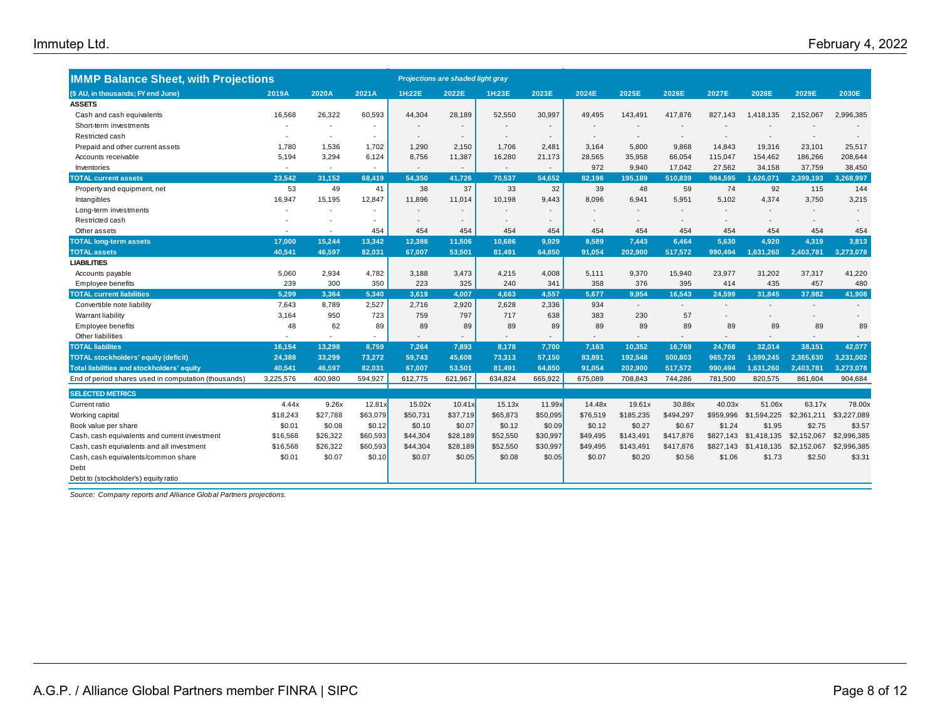| <b>IMMP Balance Sheet, with Projections</b>          |           |          |                          |                          | Projections are shaded light gray |          |                          |                          |           |                          |           |             |             |             |
|------------------------------------------------------|-----------|----------|--------------------------|--------------------------|-----------------------------------|----------|--------------------------|--------------------------|-----------|--------------------------|-----------|-------------|-------------|-------------|
| (\$ AU, in thousands; FY end June)                   | 2019A     | 2020A    | 2021A                    | 1H:22E                   | 2022E                             | 1H:23E   | 2023E                    | 2024E                    | 2025E     | 2026E                    | 2027E     | 2028E       | 2029E       | 2030E       |
| <b>ASSETS</b>                                        |           |          |                          |                          |                                   |          |                          |                          |           |                          |           |             |             |             |
| Cash and cash equivalents                            | 16,568    | 26,322   | 60,593                   | 44,304                   | 28,189                            | 52,550   | 30,997                   | 49,495                   | 143,491   | 417,876                  | 827,143   | 1,418,135   | 2,152,067   | 2,996,385   |
| Short-term investments                               |           |          |                          |                          |                                   |          | $\blacksquare$           |                          |           | $\overline{\phantom{a}}$ |           |             |             |             |
| Restricted cash                                      |           | $\sim$   | $\overline{\phantom{a}}$ | $\overline{\phantom{a}}$ | $\overline{\phantom{a}}$          |          | $\overline{\phantom{a}}$ | $\overline{\phantom{a}}$ |           | $\overline{\phantom{a}}$ |           |             |             |             |
| Prepaid and other current assets                     | 1,780     | 1,536    | 1,702                    | 1.290                    | 2.150                             | 1.706    | 2,481                    | 3.164                    | 5.800     | 9.868                    | 14,843    | 19,316      | 23,101      | 25,517      |
| Accounts receivable                                  | 5,194     | 3,294    | 6,124                    | 8,756                    | 11,387                            | 16,280   | 21,173                   | 28,565                   | 35.958    | 66,054                   | 115,047   | 154,462     | 186,266     | 208,644     |
| Inventories                                          |           |          |                          |                          |                                   |          |                          | 972                      | 9.940     | 17,042                   | 27,562    | 34,158      | 37,759      | 38,450      |
| <b>TOTAL current assets</b>                          | 23.542    | 31.152   | 68.419                   | 54.350                   | 41.726                            | 70.537   | 54.652                   | 82.196                   | 195.189   | 510.839                  | 984.595   | 1.626.071   | 2.399.193   | 3,268,997   |
| Property and equipment, net                          | 53        | 49       | 41                       | 38                       | 37                                | 33       | 32                       | 39                       | 48        | 59                       | 74        | 92          | 115         | 144         |
| Intangibles                                          | 16.947    | 15.195   | 12,847                   | 11.896                   | 11,014                            | 10.198   | 9.443                    | 8.096                    | 6.941     | 5.951                    | 5.102     | 4.374       | 3.750       | 3,215       |
| Long-term investments                                |           |          |                          |                          |                                   |          |                          |                          |           |                          |           |             |             |             |
| Restricted cash                                      |           |          |                          | $\overline{\phantom{a}}$ |                                   |          | $\overline{\phantom{a}}$ |                          |           | $\overline{\phantom{a}}$ |           |             | ٠           |             |
| Other assets                                         |           |          | 454                      | 454                      | 454                               | 454      | 454                      | 454                      | 454       | 454                      | 454       | 454         | 454         | 454         |
| <b>TOTAL long-term assets</b>                        | 17.000    | 15,244   | 13,342                   | 12.388                   | 11,506                            | 10.686   | 9.929                    | 8.589                    | 7.443     | 6.464                    | 5.630     | 4.920       | 4.319       | 3.813       |
| <b>TOTAL assets</b>                                  | 40.541    | 46,597   | 82,031                   | 67,007                   | 53,501                            | 81,491   | 64,850                   | 91,054                   | 202,900   | 517,572                  | 990,494   | 1,631,260   | 2,403,781   | 3,273,078   |
| <b>LIABILITIES</b>                                   |           |          |                          |                          |                                   |          |                          |                          |           |                          |           |             |             |             |
| Accounts payable                                     | 5,060     | 2,934    | 4,782                    | 3,188                    | 3,473                             | 4,215    | 4,008                    | 5,111                    | 9,370     | 15,940                   | 23,977    | 31,202      | 37,317      | 41,220      |
| Employee benefits                                    | 239       | 300      | 350                      | 223                      | 325                               | 240      | 341                      | 358                      | 376       | 395                      | 414       | 435         | 457         | 480         |
| <b>TOTAL current liabilities</b>                     | 5.299     | 3,364    | 5,340                    | 3.619                    | 4.007                             | 4.663    | 4,557                    | 5,677                    | 9.954     | 16.543                   | 24.599    | 31,845      | 37,982      | 41,908      |
| Convertible note liability                           | 7,643     | 8,789    | 2,527                    | 2,716                    | 2,920                             | 2,628    | 2,336                    | 934                      |           |                          |           |             |             |             |
| Warrant liability                                    | 3,164     | 950      | 723                      | 759                      | 797                               | 717      | 638                      | 383                      | 230       | 57                       |           |             |             |             |
| Employee benefits                                    | 48        | 62       | 89                       | 89                       | 89                                | 89       | 89                       | 89                       | 89        | 89                       | 89        | 89          | 89          | 89          |
| Other liabilities                                    |           |          |                          |                          |                                   |          | $\overline{a}$           | $\sim$                   |           |                          |           |             | ٠           |             |
| <b>TOTAL liabilites</b>                              | 16,154    | 13,298   | 8,759                    | 7,264                    | 7,893                             | 8.178    | 7,700                    | 7,163                    | 10.352    | 16,769                   | 24.768    | 32.014      | 38,151      | 42,077      |
| <b>TOTAL stockholders' equity (deficit)</b>          | 24,388    | 33,299   | 73,272                   | 59,743                   | 45,608                            | 73,313   | 57,150                   | 83,891                   | 192,548   | 500,803                  | 965,726   | 1,599,245   | 2,365,630   | 3,231,002   |
| <b>Total liabilities and stockholders' equity</b>    | 40.541    | 46,597   | 82,031                   | 67.007                   | 53,501                            | 81,491   | 64,850                   | 91.054                   | 202.900   | 517,572                  | 990,494   | 1,631,260   | 2,403,781   | 3,273,078   |
| End of period shares used in computation (thousands) | 3,225,576 | 400,980  | 594,927                  | 612,775                  | 621,967                           | 634,824  | 665,922                  | 675,089                  | 708,843   | 744,286                  | 781,500   | 820,575     | 861,604     | 904,684     |
| <b>SELECTED METRICS</b>                              |           |          |                          |                          |                                   |          |                          |                          |           |                          |           |             |             |             |
| Current ratio                                        | 4.44x     | 9.26x    | 12.81x                   | 15.02x                   | 10.41x                            | 15.13x   | 11.99x                   | 14.48x                   | 19.61x    | 30.88x                   | 40.03x    | 51.06x      | 63.17x      | 78.00x      |
| Working capital                                      | \$18,243  | \$27,788 | \$63,079                 | \$50,731                 | \$37,719                          | \$65,873 | \$50,095                 | \$76,519                 | \$185,235 | \$494,297                | \$959,996 | \$1,594,225 | \$2,361,211 | \$3,227,089 |
| Book value per share                                 | \$0.01    | \$0.08   | \$0.12                   | \$0.10                   | \$0.07                            | \$0.12   | \$0.09                   | \$0.12                   | \$0.27    | \$0.67                   | \$1.24    | \$1.95      | \$2.75      | \$3.57      |
| Cash, cash equivalents and current investment        | \$16,568  | \$26,322 | \$60,593                 | \$44,304                 | \$28,189                          | \$52,550 | \$30,997                 | \$49,495                 | \$143,491 | \$417,876                | \$827,143 | \$1,418,135 | \$2,152,067 | \$2,996,385 |
| Cash, cash equivalents and all investment            | \$16,568  | \$26,322 | \$60,593                 | \$44,304                 | \$28,189                          | \$52,550 | \$30,997                 | \$49,495                 | \$143,491 | \$417,876                | \$827,143 | \$1,418,135 | \$2,152,067 | \$2,996,385 |
| Cash, cash equivalents/common share                  | \$0.01    | \$0.07   | \$0.10                   | \$0.07                   | \$0.05                            | \$0.08   | \$0.05                   | \$0.07                   | \$0.20    | \$0.56                   | \$1.06    | \$1.73      | \$2.50      | \$3.31      |
| Debt                                                 |           |          |                          |                          |                                   |          |                          |                          |           |                          |           |             |             |             |
| Debt to (stockholder's) equity ratio                 |           |          |                          |                          |                                   |          |                          |                          |           |                          |           |             |             |             |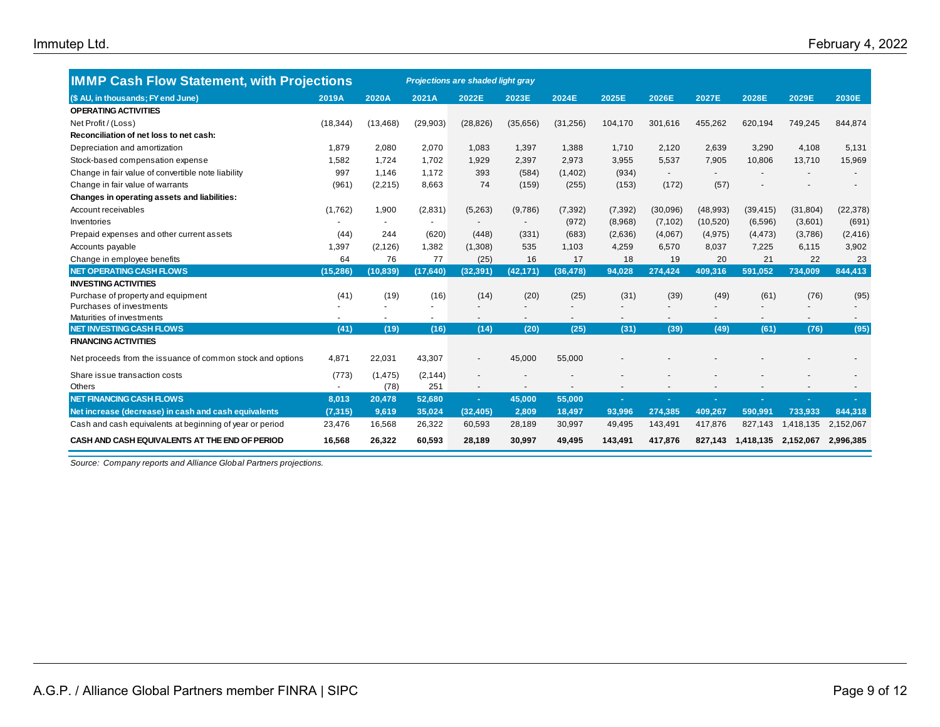| <b>IMMP Cash Flow Statement, with Projections</b>          |           |           |           | Projections are shaded light gray |           |                          |          |                |          |           |                |           |
|------------------------------------------------------------|-----------|-----------|-----------|-----------------------------------|-----------|--------------------------|----------|----------------|----------|-----------|----------------|-----------|
| (\$ AU, in thousands; FY end June)                         | 2019A     | 2020A     | 2021A     | 2022E                             | 2023E     | 2024E                    | 2025E    | 2026E          | 2027E    | 2028E     | 2029E          | 2030E     |
| <b>OPERATING ACTIVITIES</b>                                |           |           |           |                                   |           |                          |          |                |          |           |                |           |
| Net Profit / (Loss)                                        | (18, 344) | (13, 468) | (29, 903) | (28, 826)                         | (35,656)  | (31, 256)                | 104,170  | 301,616        | 455,262  | 620,194   | 749,245        | 844,874   |
| Reconciliation of net loss to net cash:                    |           |           |           |                                   |           |                          |          |                |          |           |                |           |
| Depreciation and amortization                              | 1,879     | 2,080     | 2,070     | 1,083                             | 1,397     | 1,388                    | 1,710    | 2,120          | 2,639    | 3,290     | 4,108          | 5,131     |
| Stock-based compensation expense                           | 1,582     | 1.724     | 1,702     | 1,929                             | 2,397     | 2,973                    | 3,955    | 5,537          | 7,905    | 10,806    | 13,710         | 15,969    |
| Change in fair value of convertible note liability         | 997       | 1,146     | 1,172     | 393                               | (584)     | (1, 402)                 | (934)    | $\blacksquare$ |          |           |                |           |
| Change in fair value of warrants                           | (961)     | (2, 215)  | 8,663     | 74                                | (159)     | (255)                    | (153)    | (172)          | (57)     |           |                |           |
| Changes in operating assets and liabilities:               |           |           |           |                                   |           |                          |          |                |          |           |                |           |
| Account receivables                                        | (1,762)   | 1,900     | (2,831)   | (5,263)                           | (9,786)   | (7, 392)                 | (7, 392) | (30,096)       | (48,993) | (39, 415) | (31, 804)      | (22, 378) |
| Inventories                                                |           |           |           |                                   |           | (972)                    | (8,968)  | (7, 102)       | (10,520) | (6, 596)  | (3,601)        | (691)     |
| Prepaid expenses and other current assets                  | (44)      | 244       | (620)     | (448)                             | (331)     | (683)                    | (2,636)  | (4,067)        | (4, 975) | (4, 473)  | (3,786)        | (2, 416)  |
| Accounts payable                                           | 1,397     | (2, 126)  | 1,382     | (1,308)                           | 535       | 1,103                    | 4,259    | 6,570          | 8,037    | 7,225     | 6,115          | 3,902     |
| Change in employee benefits                                | 64        | 76        | 77        | (25)                              | 16        | 17                       | 18       | 19             | 20       | 21        | 22             | 23        |
| <b>NET OPERATING CASH FLOWS</b>                            | (15, 286) | (10, 839) | (17, 640) | (32, 391)                         | (42, 171) | (36, 478)                | 94,028   | 274,424        | 409,316  | 591,052   | 734,009        | 844,413   |
| <b>INVESTING ACTIVITIES</b>                                |           |           |           |                                   |           |                          |          |                |          |           |                |           |
| Purchase of property and equipment                         | (41)      | (19)      | (16)      | (14)                              | (20)      | (25)                     | (31)     | (39)           | (49)     | (61)      | (76)           | (95)      |
| Purchases of investments                                   |           |           | ٠         |                                   |           | $\overline{\phantom{a}}$ |          | ٠              |          |           | $\overline{a}$ |           |
| Maturities of investments                                  |           |           |           |                                   |           |                          |          |                |          |           |                |           |
| <b>NET INVESTING CASH FLOWS</b>                            | (41)      | (19)      | (16)      | (14)                              | (20)      | (25)                     | (31)     | (39)           | (49)     | (61)      | (76)           | (95)      |
| <b>FINANCING ACTIVITIES</b>                                |           |           |           |                                   |           |                          |          |                |          |           |                |           |
| Net proceeds from the issuance of common stock and options | 4.871     | 22,031    | 43,307    |                                   | 45,000    | 55,000                   |          |                |          |           |                |           |
| Share issue transaction costs                              | (773)     | (1, 475)  | (2, 144)  |                                   |           |                          |          |                |          |           |                |           |
| Others                                                     | $\sim$    | (78)      | 251       | $\overline{\phantom{a}}$          |           |                          |          |                |          |           |                |           |
| <b>NET FINANCING CASH FLOWS</b>                            | 8,013     | 20,478    | 52,680    | $\sim$                            | 45,000    | 55,000                   |          | ٠              |          |           |                |           |
| Net increase (decrease) in cash and cash equivalents       | (7, 315)  | 9,619     | 35,024    | (32, 405)                         | 2,809     | 18,497                   | 93,996   | 274,385        | 409,267  | 590,991   | 733,933        | 844,318   |
| Cash and cash equivalents at beginning of year or period   | 23,476    | 16,568    | 26,322    | 60,593                            | 28,189    | 30,997                   | 49,495   | 143,491        | 417,876  | 827,143   | 1,418,135      | 2,152,067 |
| CASH AND CASH EQUIVALENTS AT THE END OF PERIOD             | 16,568    | 26,322    | 60,593    | 28,189                            | 30,997    | 49,495                   | 143,491  | 417,876        | 827,143  | 1,418,135 | 2,152,067      | 2,996,385 |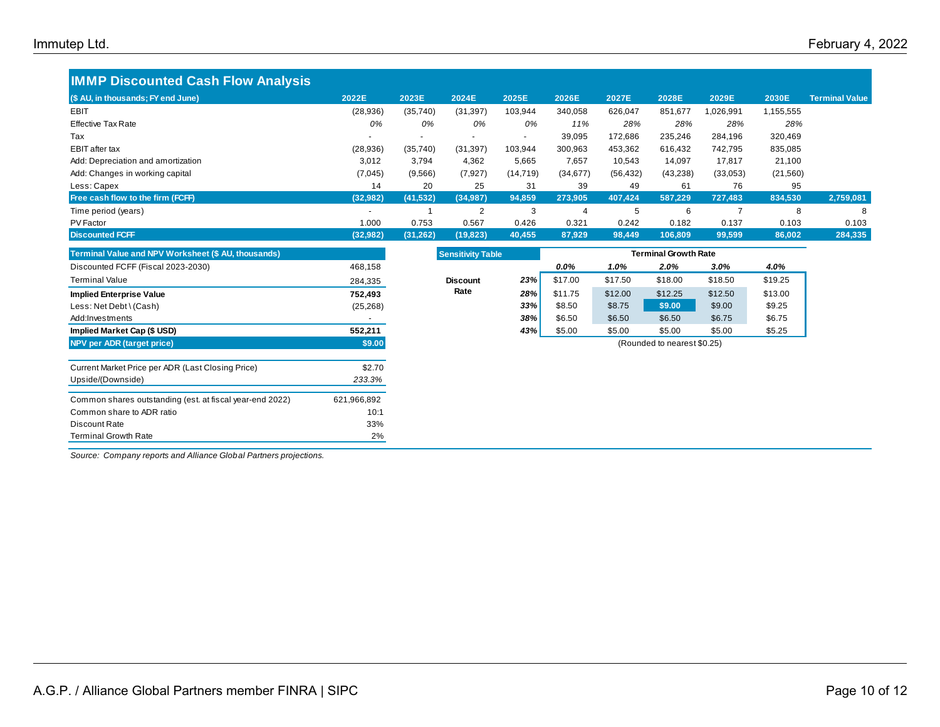## **IMMP Discounted Cash Flow Analysis (\$ AU, in thousands; FY end June) 2022E 2023E 2024E 2025E 2026E 2027E 2028E 2029E 2030E Terminal Value** EBIT (28,936) (35,740) (31,397) 103,944 340,058 626,047 851,677 1,026,991 1,155,555 EP Ltd.<br>
IMMP Discounted Cash Flow Analysis<br>
(\$ AU, in thousands; FY end June)<br>
EBIT (28,936) (35,740) (31,397) 103,944 340,058 626,047 851,677 1,026,991 1,155,555<br>
Effective Tax Rate *0% 0% 0% 11% 28% 28% 28% 28% 28%*<br>
Ta Tax - - - - 39,095 172,686 235,246 284,196 320,469 EBIT after tax (28,936) (35,740) (31,397) 103,944 300,963 453,362 616,432 742,795 835,085 Add: Depreciation and amortization **3,012** 3,794 4,362 5,665 7,657 10,543 14,097 17,817 21,100 Add: Changes in working capital (7.045) (7,045) (9,566) (7,927) (14,719) (34,677) (56,432) (43,238) (33,053) (21,560) 03,936) (35,740) (31,397) 103,944 340,058 626,047 851,677 1,026,991 1,155,555<br>
Effective Tax Rate<br>
Tax (28,936) (35,740) (31,397) 103,944 340,058 626,047 851,677 1,026,991 1,155,555<br>
EBIT after tax (28,936) (35,740) (31,39 **Free cash flow to the firm (FCFF) (32,982) (41,532) (34,987) 94,859 273,905 407,424 587,229 727,483 834,530 2,759,081** Time period (years) - 1 2 3 4 5 6 7 8 8 PV Factor 1.000 0.753 0.567 0.426 0.321 0.242 0.182 0.137 0.103 0.103 **Discounted FCFF (32,982) (31,262) (19,823) 40,455 87,929 98,449 106,809 99,599 86,002 284,335**

| Terminal Value and NPV Worksheet (\$ AU, thousands)      |             | <b>Sensitivity Table</b> |     | <b>Terminal Growth Rate</b> |         |                             |         |         |
|----------------------------------------------------------|-------------|--------------------------|-----|-----------------------------|---------|-----------------------------|---------|---------|
| Discounted FCFF (Fiscal 2023-2030)                       | 468,158     |                          |     | 0.0%                        | 1.0%    | 2.0%                        | 3.0%    | 4.0%    |
| Terminal Value                                           | 284,335     | <b>Discount</b>          | 23% | \$17.00                     | \$17.50 | \$18.00                     | \$18.50 | \$19.25 |
| <b>Implied Enterprise Value</b>                          | 752,493     | Rate                     | 28% | \$11.75                     | \$12.00 | \$12.25                     | \$12.50 | \$13.00 |
| Less: Net Debt \ (Cash)                                  | (25, 268)   |                          | 33% | \$8.50                      | \$8.75  | \$9.00                      | \$9.00  | \$9.25  |
| Add:Investments                                          |             |                          | 38% | \$6.50                      | \$6.50  | \$6.50                      | \$6.75  | \$6.75  |
| Implied Market Cap (\$ USD)                              | 552,211     |                          | 43% | \$5.00                      | \$5.00  | \$5.00                      | \$5.00  | \$5.25  |
| NPV per ADR (target price)                               | \$9.00      |                          |     |                             |         | (Rounded to nearest \$0.25) |         |         |
| Current Market Price per ADR (Last Closing Price)        | \$2.70      |                          |     |                             |         |                             |         |         |
| Upside/(Downside)                                        | 233.3%      |                          |     |                             |         |                             |         |         |
| Common shares outstanding (est. at fiscal year-end 2022) | 621,966,892 |                          |     |                             |         |                             |         |         |
| Common share to ADR ratio                                | 10:1        |                          |     |                             |         |                             |         |         |
| Discount Rate                                            | 33%         |                          |     |                             |         |                             |         |         |
| <b>Terminal Growth Rate</b>                              | 2%          |                          |     |                             |         |                             |         |         |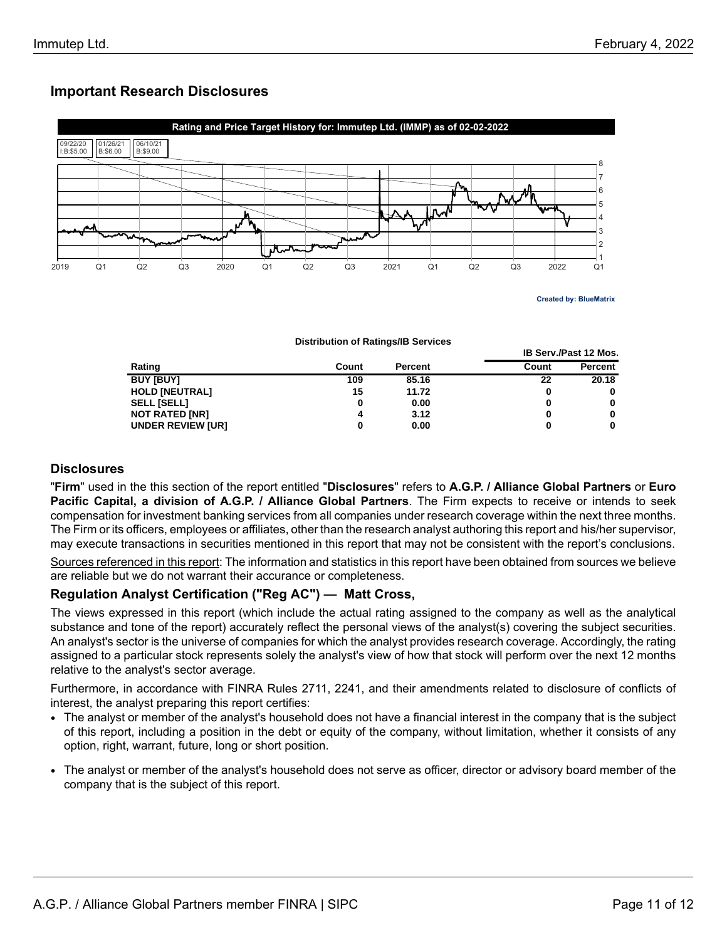# **Important Research Disclosures**



**Created by: BlueMatrix**

**IB Serv./Past 12 Mos.**

**Distribution of Ratings/IB Services**

| Rating                   | Count | <b>Percent</b> | Count | <b>Percent</b> |
|--------------------------|-------|----------------|-------|----------------|
| <b>BUY [BUY]</b>         | 109   | 85.16          | 22    | 20.18          |
| <b>HOLD [NEUTRAL]</b>    | 15    | 11.72          | 0     |                |
| <b>SELL [SELL]</b>       |       | 0.00           | 0     |                |
| <b>NOT RATED [NR]</b>    |       | 3.12           | 0     |                |
| <b>UNDER REVIEW [UR]</b> |       | 0.00           |       |                |

## **Disclosures**

"**Firm**" used in the this section of the report entitled "**Disclosures**" refers to **A.G.P. / Alliance Global Partners** or **Euro Pacific Capital, a division of A.G.P. / Alliance Global Partners**. The Firm expects to receive or intends to seek compensation for investment banking services from all companies under research coverage within the next three months. The Firm or its officers, employees or affiliates, other than the research analyst authoring this report and his/her supervisor, may execute transactions in securities mentioned in this report that may not be consistent with the report's conclusions.

Sources referenced in this report: The information and statistics in this report have been obtained from sources we believe are reliable but we do not warrant their accurance or completeness.

## **Regulation Analyst Certification ("Reg AC") — Matt Cross,**

The views expressed in this report (which include the actual rating assigned to the company as well as the analytical substance and tone of the report) accurately reflect the personal views of the analyst(s) covering the subject securities. An analyst's sector is the universe of companies for which the analyst provides research coverage. Accordingly, the rating assigned to a particular stock represents solely the analyst's view of how that stock will perform over the next 12 months relative to the analyst's sector average.

Furthermore, in accordance with FINRA Rules 2711, 2241, and their amendments related to disclosure of conflicts of interest, the analyst preparing this report certifies:

- The analyst or member of the analyst's household does not have a financial interest in the company that is the subject of this report, including a position in the debt or equity of the company, without limitation, whether it consists of any option, right, warrant, future, long or short position.
- The analyst or member of the analyst's household does not serve as officer, director or advisory board member of the company that is the subject of this report.